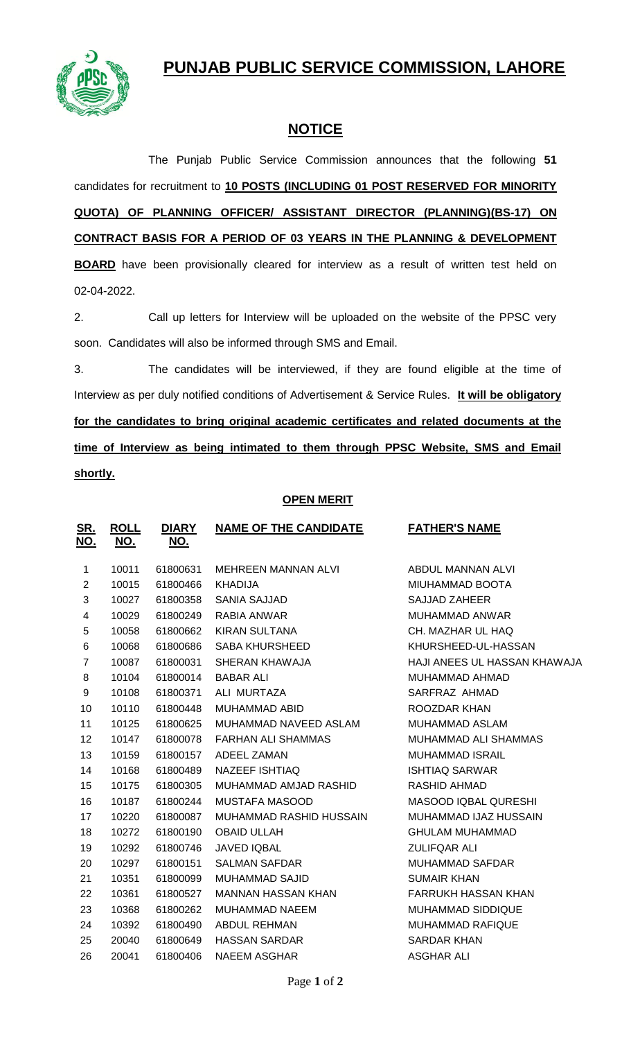## **PUNJAB PUBLIC SERVICE COMMISSION, LAHORE**



## **NOTICE**

The Punjab Public Service Commission announces that the following **51** candidates for recruitment to **10 POSTS (INCLUDING 01 POST RESERVED FOR MINORITY QUOTA) OF PLANNING OFFICER/ ASSISTANT DIRECTOR (PLANNING)(BS-17) ON CONTRACT BASIS FOR A PERIOD OF 03 YEARS IN THE PLANNING & DEVELOPMENT** 

**BOARD** have been provisionally cleared for interview as a result of written test held on 02-04-2022.

2. Call up letters for Interview will be uploaded on the website of the PPSC very soon. Candidates will also be informed through SMS and Email.

3. The candidates will be interviewed, if they are found eligible at the time of Interview as per duly notified conditions of Advertisement & Service Rules. **It will be obligatory for the candidates to bring original academic certificates and related documents at the time of Interview as being intimated to them through PPSC Website, SMS and Email shortly.**

## **OPEN MERIT**

| <u>SR.</u><br><u>NO.</u> | <b>ROLL</b><br><u>NO.</u> | <b>DIARY</b><br><u>NO.</u> | <b>NAME OF THE CANDIDATE</b> | <b>FATHER'S NAME</b>         |
|--------------------------|---------------------------|----------------------------|------------------------------|------------------------------|
| $\mathbf{1}$             | 10011                     | 61800631                   | MEHREEN MANNAN ALVI          | ABDUL MANNAN ALVI            |
| $\overline{2}$           | 10015                     | 61800466                   | <b>KHADIJA</b>               | MIUHAMMAD BOOTA              |
| 3                        | 10027                     | 61800358                   | <b>SANIA SAJJAD</b>          | <b>SAJJAD ZAHEER</b>         |
| 4                        | 10029                     | 61800249                   | RABIA ANWAR                  | <b>MUHAMMAD ANWAR</b>        |
| 5                        | 10058                     | 61800662                   | <b>KIRAN SULTANA</b>         | CH. MAZHAR UL HAQ            |
| 6                        | 10068                     | 61800686                   | SABA KHURSHEED               | KHURSHEED-UL-HASSAN          |
| $\overline{7}$           | 10087                     | 61800031                   | SHERAN KHAWAJA               | HAJI ANEES UL HASSAN KHAWAJA |
| 8                        | 10104                     | 61800014                   | <b>BABAR ALI</b>             | MUHAMMAD AHMAD               |
| 9                        | 10108                     | 61800371                   | ALI MURTAZA                  | SARFRAZ AHMAD                |
| 10                       | 10110                     | 61800448                   | MUHAMMAD ABID                | ROOZDAR KHAN                 |
| 11                       | 10125                     | 61800625                   | MUHAMMAD NAVEED ASLAM        | MUHAMMAD ASLAM               |
| 12                       | 10147                     | 61800078                   | <b>FARHAN ALI SHAMMAS</b>    | MUHAMMAD ALI SHAMMAS         |
| 13                       | 10159                     | 61800157                   | ADEEL ZAMAN                  | <b>MUHAMMAD ISRAIL</b>       |
| 14                       | 10168                     | 61800489                   | NAZEEF ISHTIAQ               | <b>ISHTIAQ SARWAR</b>        |
| 15                       | 10175                     | 61800305                   | MUHAMMAD AMJAD RASHID        | <b>RASHID AHMAD</b>          |
| 16                       | 10187                     | 61800244                   | <b>MUSTAFA MASOOD</b>        | MASOOD IQBAL QURESHI         |
| 17                       | 10220                     | 61800087                   | MUHAMMAD RASHID HUSSAIN      | MUHAMMAD IJAZ HUSSAIN        |
| 18                       | 10272                     | 61800190                   | <b>OBAID ULLAH</b>           | <b>GHULAM MUHAMMAD</b>       |
| 19                       | 10292                     | 61800746                   | <b>JAVED IQBAL</b>           | <b>ZULIFQAR ALI</b>          |
| 20                       | 10297                     | 61800151                   | <b>SALMAN SAFDAR</b>         | <b>MUHAMMAD SAFDAR</b>       |
| 21                       | 10351                     | 61800099                   | <b>MUHAMMAD SAJID</b>        | <b>SUMAIR KHAN</b>           |
| 22                       | 10361                     | 61800527                   | <b>MANNAN HASSAN KHAN</b>    | <b>FARRUKH HASSAN KHAN</b>   |
| 23                       | 10368                     | 61800262                   | <b>MUHAMMAD NAEEM</b>        | MUHAMMAD SIDDIQUE            |
| 24                       | 10392                     | 61800490                   | ABDUL REHMAN                 | <b>MUHAMMAD RAFIQUE</b>      |
| 25                       | 20040                     | 61800649                   | <b>HASSAN SARDAR</b>         | <b>SARDAR KHAN</b>           |
| 26                       | 20041                     | 61800406                   | <b>NAEEM ASGHAR</b>          | <b>ASGHAR ALI</b>            |
|                          |                           |                            |                              |                              |